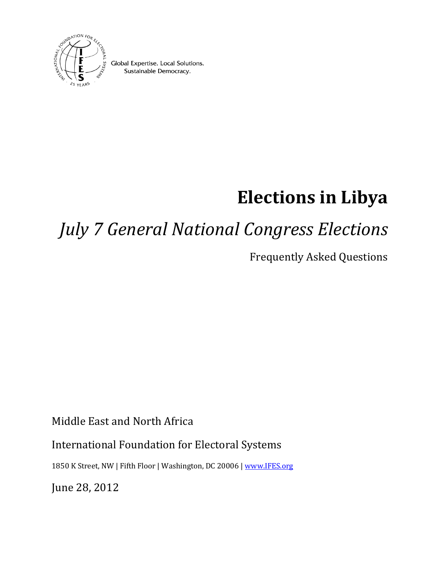

Global Expertise. Local Solutions. Sustainable Democracy.

# **Elections in Libya**

# *July 7 General National Congress Elections*

Frequently Asked Questions

Middle East and North Africa

## International Foundation for Electoral Systems

1850 K Street, NW | Fifth Floor | Washington, DC 20006 | [www.IFES.org](http://www.ifes.org/)

June 28, 2012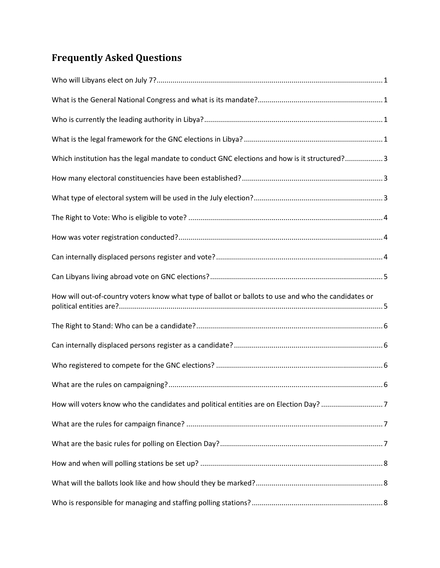## **Frequently Asked Questions**

| Which institution has the legal mandate to conduct GNC elections and how is it structured?3         |  |
|-----------------------------------------------------------------------------------------------------|--|
|                                                                                                     |  |
|                                                                                                     |  |
|                                                                                                     |  |
|                                                                                                     |  |
|                                                                                                     |  |
|                                                                                                     |  |
| How will out-of-country voters know what type of ballot or ballots to use and who the candidates or |  |
|                                                                                                     |  |
|                                                                                                     |  |
|                                                                                                     |  |
|                                                                                                     |  |
| How will voters know who the candidates and political entities are on Election Day? 7               |  |
|                                                                                                     |  |
|                                                                                                     |  |
|                                                                                                     |  |
|                                                                                                     |  |
|                                                                                                     |  |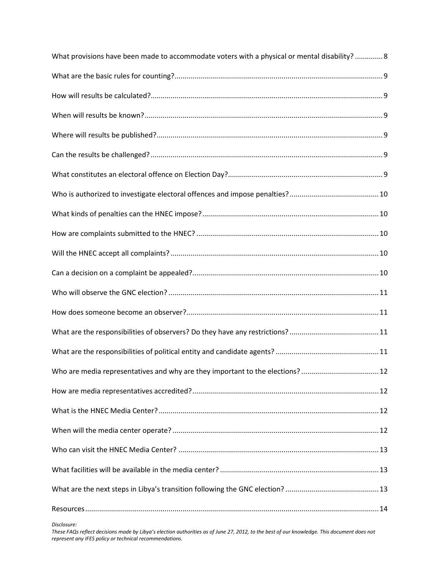| What provisions have been made to accommodate voters with a physical or mental disability?  8 |  |
|-----------------------------------------------------------------------------------------------|--|
|                                                                                               |  |
|                                                                                               |  |
|                                                                                               |  |
|                                                                                               |  |
|                                                                                               |  |
|                                                                                               |  |
|                                                                                               |  |
|                                                                                               |  |
|                                                                                               |  |
|                                                                                               |  |
|                                                                                               |  |
|                                                                                               |  |
|                                                                                               |  |
|                                                                                               |  |
|                                                                                               |  |
| Who are media representatives and why are they important to the elections?  12                |  |
|                                                                                               |  |
|                                                                                               |  |
|                                                                                               |  |
|                                                                                               |  |
|                                                                                               |  |
|                                                                                               |  |
|                                                                                               |  |
|                                                                                               |  |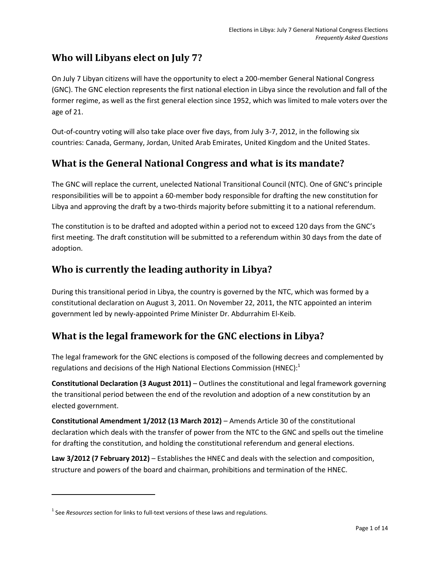## <span id="page-3-0"></span>**Who will Libyans elect on July 7?**

On July 7 Libyan citizens will have the opportunity to elect a 200-member General National Congress (GNC). The GNC election represents the first national election in Libya since the revolution and fall of the former regime, as well as the first general election since 1952, which was limited to male voters over the age of 21.

Out-of-country voting will also take place over five days, from July 3-7, 2012, in the following six countries: Canada, Germany, Jordan, United Arab Emirates, United Kingdom and the United States.

#### <span id="page-3-1"></span>**What is the General National Congress and what is its mandate?**

The GNC will replace the current, unelected National Transitional Council (NTC). One of GNC's principle responsibilities will be to appoint a 60-member body responsible for drafting the new constitution for Libya and approving the draft by a two-thirds majority before submitting it to a national referendum.

The constitution is to be drafted and adopted within a period not to exceed 120 days from the GNC's first meeting. The draft constitution will be submitted to a referendum within 30 days from the date of adoption.

#### <span id="page-3-2"></span>**Who is currently the leading authority in Libya?**

During this transitional period in Libya, the country is governed by the NTC, which was formed by a constitutional declaration on August 3, 2011. On November 22, 2011, the NTC appointed an interim government led by newly-appointed Prime Minister Dr. Abdurrahim El-Keib.

#### <span id="page-3-3"></span>**What is the legal framework for the GNC elections in Libya?**

The legal framework for the GNC elections is composed of the following decrees and complemented by regulations and decisions of the High National Elections Commission (HNEC):<sup>1</sup>

**Constitutional Declaration (3 August 2011)** – Outlines the constitutional and legal framework governing the transitional period between the end of the revolution and adoption of a new constitution by an elected government.

**Constitutional Amendment 1/2012 (13 March 2012)** – Amends Article 30 of the constitutional declaration which deals with the transfer of power from the NTC to the GNC and spells out the timeline for drafting the constitution, and holding the constitutional referendum and general elections.

**Law 3/2012 (7 February 2012)** – Establishes the HNEC and deals with the selection and composition, structure and powers of the board and chairman, prohibitions and termination of the HNEC.

 $\overline{\phantom{a}}$ 

<sup>&</sup>lt;sup>1</sup> See *Resources* section for links to full-text versions of these laws and regulations.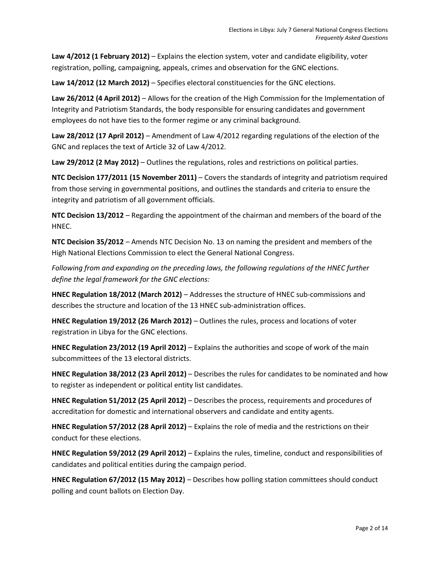**Law 4/2012 (1 February 2012)** – Explains the election system, voter and candidate eligibility, voter registration, polling, campaigning, appeals, crimes and observation for the GNC elections.

**Law 14/2012 (12 March 2012)** – Specifies electoral constituencies for the GNC elections.

**Law 26/2012 (4 April 2012)** – Allows for the creation of the High Commission for the Implementation of Integrity and Patriotism Standards, the body responsible for ensuring candidates and government employees do not have ties to the former regime or any criminal background.

**Law 28/2012 (17 April 2012)** – Amendment of Law 4/2012 regarding regulations of the election of the GNC and replaces the text of Article 32 of Law 4/2012.

**Law 29/2012 (2 May 2012)** – Outlines the regulations, roles and restrictions on political parties.

**NTC Decision 177/2011 (15 November 2011)** – Covers the standards of integrity and patriotism required from those serving in governmental positions, and outlines the standards and criteria to ensure the integrity and patriotism of all government officials.

**NTC Decision 13/2012** – Regarding the appointment of the chairman and members of the board of the HNEC.

**NTC Decision 35/2012** – Amends NTC Decision No. 13 on naming the president and members of the High National Elections Commission to elect the General National Congress.

*Following from and expanding on the preceding laws, the following regulations of the HNEC further define the legal framework for the GNC elections:*

**HNEC Regulation 18/2012 (March 2012)** – Addresses the structure of HNEC sub-commissions and describes the structure and location of the 13 HNEC sub-administration offices.

**HNEC Regulation 19/2012 (26 March 2012)** – Outlines the rules, process and locations of voter registration in Libya for the GNC elections.

**HNEC Regulation 23/2012 (19 April 2012)** – Explains the authorities and scope of work of the main subcommittees of the 13 electoral districts.

**HNEC Regulation 38/2012 (23 April 2012)** – Describes the rules for candidates to be nominated and how to register as independent or political entity list candidates.

**HNEC Regulation 51/2012 (25 April 2012)** – Describes the process, requirements and procedures of accreditation for domestic and international observers and candidate and entity agents.

**HNEC Regulation 57/2012 (28 April 2012)** – Explains the role of media and the restrictions on their conduct for these elections.

**HNEC Regulation 59/2012 (29 April 2012)** – Explains the rules, timeline, conduct and responsibilities of candidates and political entities during the campaign period.

**HNEC Regulation 67/2012 (15 May 2012)** – Describes how polling station committees should conduct polling and count ballots on Election Day.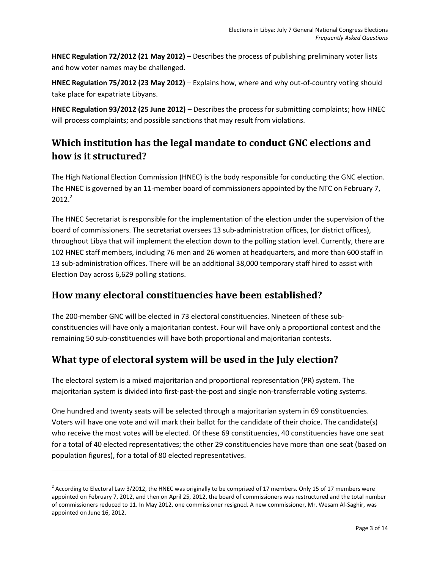**HNEC Regulation 72/2012 (21 May 2012)** – Describes the process of publishing preliminary voter lists and how voter names may be challenged.

**HNEC Regulation 75/2012 (23 May 2012)** – Explains how, where and why out-of-country voting should take place for expatriate Libyans.

**HNEC Regulation 93/2012 (25 June 2012)** – Describes the process for submitting complaints; how HNEC will process complaints; and possible sanctions that may result from violations.

## <span id="page-5-0"></span>**Which institution has the legal mandate to conduct GNC elections and how is it structured?**

The High National Election Commission (HNEC) is the body responsible for conducting the GNC election. The HNEC is governed by an 11-member board of commissioners appointed by the NTC on February 7,  $2012.<sup>2</sup>$ 

The HNEC Secretariat is responsible for the implementation of the election under the supervision of the board of commissioners. The secretariat oversees 13 sub-administration offices, (or district offices), throughout Libya that will implement the election down to the polling station level. Currently, there are 102 HNEC staff members, including 76 men and 26 women at headquarters, and more than 600 staff in 13 sub-administration offices. There will be an additional 38,000 temporary staff hired to assist with Election Day across 6,629 polling stations.

## <span id="page-5-1"></span>**How many electoral constituencies have been established?**

The 200-member GNC will be elected in 73 electoral constituencies. Nineteen of these subconstituencies will have only a majoritarian contest. Four will have only a proportional contest and the remaining 50 sub-constituencies will have both proportional and majoritarian contests.

## <span id="page-5-2"></span>**What type of electoral system will be used in the July election?**

 $\overline{\phantom{a}}$ 

The electoral system is a mixed majoritarian and proportional representation (PR) system. The majoritarian system is divided into first-past-the-post and single non-transferrable voting systems.

One hundred and twenty seats will be selected through a majoritarian system in 69 constituencies. Voters will have one vote and will mark their ballot for the candidate of their choice. The candidate(s) who receive the most votes will be elected. Of these 69 constituencies, 40 constituencies have one seat for a total of 40 elected representatives; the other 29 constituencies have more than one seat (based on population figures), for a total of 80 elected representatives.

<sup>&</sup>lt;sup>2</sup> According to Electoral Law 3/2012, the HNEC was originally to be comprised of 17 members. Only 15 of 17 members were appointed on February 7, 2012, and then on April 25, 2012, the board of commissioners was restructured and the total number of commissioners reduced to 11. In May 2012, one commissioner resigned. A new commissioner, Mr. Wesam Al-Saghir, was appointed on June 16, 2012.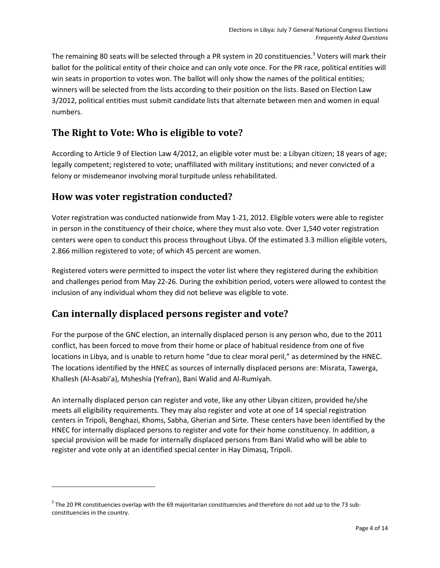The remaining 80 seats will be selected through a PR system in 20 constituencies.<sup>3</sup> Voters will mark their ballot for the political entity of their choice and can only vote once. For the PR race, political entities will win seats in proportion to votes won. The ballot will only show the names of the political entities; winners will be selected from the lists according to their position on the lists. Based on Election Law 3/2012, political entities must submit candidate lists that alternate between men and women in equal numbers.

## <span id="page-6-0"></span>**The Right to Vote: Who is eligible to vote?**

According to Article 9 of Election Law 4/2012, an eligible voter must be: a Libyan citizen; 18 years of age; legally competent; registered to vote; unaffiliated with military institutions; and never convicted of a felony or misdemeanor involving moral turpitude unless rehabilitated.

#### <span id="page-6-1"></span>**How was voter registration conducted?**

l

Voter registration was conducted nationwide from May 1-21, 2012. Eligible voters were able to register in person in the constituency of their choice, where they must also vote. Over 1,540 voter registration centers were open to conduct this process throughout Libya. Of the estimated 3.3 million eligible voters, 2.866 million registered to vote; of which 45 percent are women.

Registered voters were permitted to inspect the voter list where they registered during the exhibition and challenges period from May 22-26. During the exhibition period, voters were allowed to contest the inclusion of any individual whom they did not believe was eligible to vote.

## <span id="page-6-2"></span>**Can internally displaced persons register and vote?**

For the purpose of the GNC election, an internally displaced person is any person who, due to the 2011 conflict, has been forced to move from their home or place of habitual residence from one of five locations in Libya, and is unable to return home "due to clear moral peril," as determined by the HNEC. The locations identified by the HNEC as sources of internally displaced persons are: Misrata, Tawerga, Khallesh (Al-Asabi'a), Msheshia (Yefran), Bani Walid and Al-Rumiyah.

An internally displaced person can register and vote, like any other Libyan citizen, provided he/she meets all eligibility requirements. They may also register and vote at one of 14 special registration centers in Tripoli, Benghazi, Khoms, Sabha, Gherian and Sirte. These centers have been identified by the HNEC for internally displaced persons to register and vote for their home constituency. In addition, a special provision will be made for internally displaced persons from Bani Walid who will be able to register and vote only at an identified special center in Hay Dimasq, Tripoli.

 $^3$  The 20 PR constituencies overlap with the 69 majoritarian constituencies and therefore do not add up to the 73 subconstituencies in the country.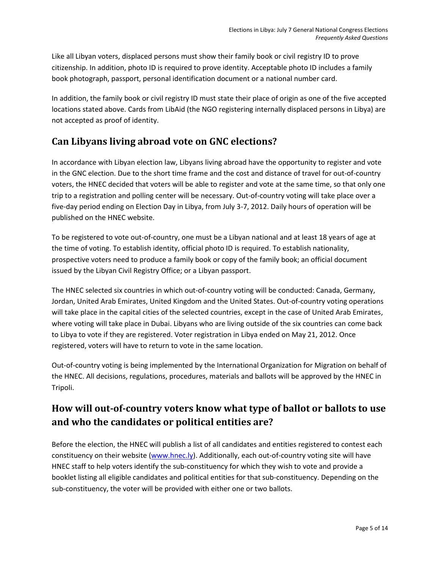Like all Libyan voters, displaced persons must show their family book or civil registry ID to prove citizenship. In addition, photo ID is required to prove identity. Acceptable photo ID includes a family book photograph, passport, personal identification document or a national number card.

In addition, the family book or civil registry ID must state their place of origin as one of the five accepted locations stated above. Cards from LibAid (the NGO registering internally displaced persons in Libya) are not accepted as proof of identity.

## <span id="page-7-0"></span>**Can Libyans living abroad vote on GNC elections?**

In accordance with Libyan election law, Libyans living abroad have the opportunity to register and vote in the GNC election. Due to the short time frame and the cost and distance of travel for out-of-country voters, the HNEC decided that voters will be able to register and vote at the same time, so that only one trip to a registration and polling center will be necessary. Out-of-country voting will take place over a five-day period ending on Election Day in Libya, from July 3-7, 2012. Daily hours of operation will be published on the HNEC website.

To be registered to vote out-of-country, one must be a Libyan national and at least 18 years of age at the time of voting. To establish identity, official photo ID is required. To establish nationality, prospective voters need to produce a family book or copy of the family book; an official document issued by the Libyan Civil Registry Office; or a Libyan passport.

The HNEC selected six countries in which out-of-country voting will be conducted: Canada, Germany, Jordan, United Arab Emirates, United Kingdom and the United States. Out-of-country voting operations will take place in the capital cities of the selected countries, except in the case of United Arab Emirates, where voting will take place in Dubai. Libyans who are living outside of the six countries can come back to Libya to vote if they are registered. Voter registration in Libya ended on May 21, 2012. Once registered, voters will have to return to vote in the same location.

Out-of-country voting is being implemented by the International Organization for Migration on behalf of the HNEC. All decisions, regulations, procedures, materials and ballots will be approved by the HNEC in Tripoli.

## <span id="page-7-1"></span>**How will out-of-country voters know what type of ballot or ballots to use and who the candidates or political entities are?**

Before the election, the HNEC will publish a list of all candidates and entities registered to contest each constituency on thei[r website](http://www.hnec.ly/) [\(www.hnec.ly\)](http://www.hnec.ly/). Additionally, each out-of-country voting site will have HNEC staff to help voters identify the sub-constituency for which they wish to vote and provide a booklet listing all eligible candidates and political entities for that sub-constituency. Depending on the sub-constituency, the voter will be provided with either one or two ballots.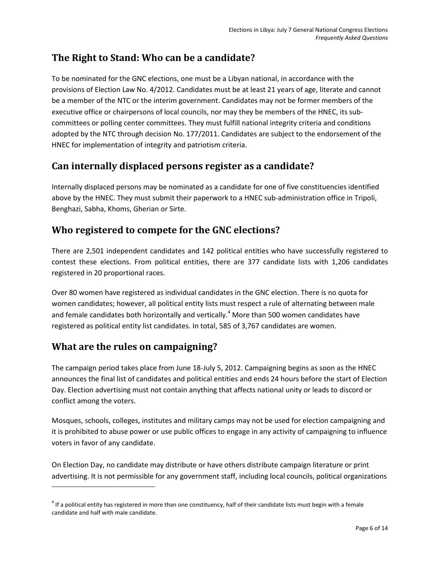## <span id="page-8-0"></span>**The Right to Stand: Who can be a candidate?**

To be nominated for the GNC elections, one must be a Libyan national, in accordance with the provisions of Election Law No. 4/2012. Candidates must be at least 21 years of age, literate and cannot be a member of the NTC or the interim government. Candidates may not be former members of the executive office or chairpersons of local councils, nor may they be members of the HNEC, its subcommittees or polling center committees. They must fulfill national integrity criteria and conditions adopted by the NTC through decision No. 177/2011. Candidates are subject to the endorsement of the HNEC for implementation of integrity and patriotism criteria.

## <span id="page-8-1"></span>**Can internally displaced persons register as a candidate?**

Internally displaced persons may be nominated as a candidate for one of five constituencies identified above by the HNEC. They must submit their paperwork to a HNEC sub-administration office in Tripoli, Benghazi, Sabha, Khoms, Gherian or Sirte.

## <span id="page-8-2"></span>**Who registered to compete for the GNC elections?**

There are 2,501 independent candidates and 142 political entities who have successfully registered to contest these elections. From political entities, there are 377 candidate lists with 1,206 candidates registered in 20 proportional races.

Over 80 women have registered as individual candidates in the GNC election. There is no quota for women candidates; however, all political entity lists must respect a rule of alternating between male and female candidates both horizontally and vertically.<sup>4</sup> More than 500 women candidates have registered as political entity list candidates. In total, 585 of 3,767 candidates are women.

## <span id="page-8-3"></span>**What are the rules on campaigning?**

l

The campaign period takes place from June 18-July 5, 2012. Campaigning begins as soon as the HNEC announces the final list of candidates and political entities and ends 24 hours before the start of Election Day. Election advertising must not contain anything that affects national unity or leads to discord or conflict among the voters.

Mosques, schools, colleges, institutes and military camps may not be used for election campaigning and it is prohibited to abuse power or use public offices to engage in any activity of campaigning to influence voters in favor of any candidate.

On Election Day, no candidate may distribute or have others distribute campaign literature or print advertising. It is not permissible for any government staff, including local councils, political organizations

 $^4$  If a political entity has registered in more than one constituency, half of their candidate lists must begin with a female candidate and half with male candidate.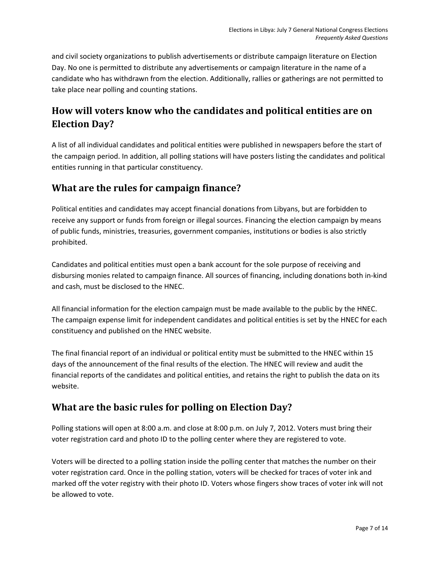and civil society organizations to publish advertisements or distribute campaign literature on Election Day. No one is permitted to distribute any advertisements or campaign literature in the name of a candidate who has withdrawn from the election. Additionally, rallies or gatherings are not permitted to take place near polling and counting stations.

## <span id="page-9-0"></span>**How will voters know who the candidates and political entities are on Election Day?**

A list of all individual candidates and political entities were published in newspapers before the start of the campaign period. In addition, all polling stations will have posters listing the candidates and political entities running in that particular constituency.

## <span id="page-9-1"></span>**What are the rules for campaign finance?**

Political entities and candidates may accept financial donations from Libyans, but are forbidden to receive any support or funds from foreign or illegal sources. Financing the election campaign by means of public funds, ministries, treasuries, government companies, institutions or bodies is also strictly prohibited.

Candidates and political entities must open a bank account for the sole purpose of receiving and disbursing monies related to campaign finance. All sources of financing, including donations both in-kind and cash, must be disclosed to the HNEC.

All financial information for the election campaign must be made available to the public by the HNEC. The campaign expense limit for independent candidates and political entities is set by the HNEC for each constituency and published on the HNEC website.

The final financial report of an individual or political entity must be submitted to the HNEC within 15 days of the announcement of the final results of the election. The HNEC will review and audit the financial reports of the candidates and political entities, and retains the right to publish the data on its website.

## <span id="page-9-2"></span>**What are the basic rules for polling on Election Day?**

Polling stations will open at 8:00 a.m. and close at 8:00 p.m. on July 7, 2012. Voters must bring their voter registration card and photo ID to the polling center where they are registered to vote.

Voters will be directed to a polling station inside the polling center that matches the number on their voter registration card. Once in the polling station, voters will be checked for traces of voter ink and marked off the voter registry with their photo ID. Voters whose fingers show traces of voter ink will not be allowed to vote.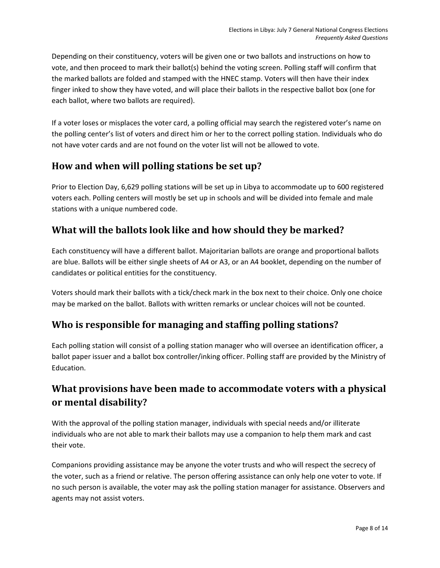Depending on their constituency, voters will be given one or two ballots and instructions on how to vote, and then proceed to mark their ballot(s) behind the voting screen. Polling staff will confirm that the marked ballots are folded and stamped with the HNEC stamp. Voters will then have their index finger inked to show they have voted, and will place their ballots in the respective ballot box (one for each ballot, where two ballots are required).

If a voter loses or misplaces the voter card, a polling official may search the registered voter's name on the polling center's list of voters and direct him or her to the correct polling station. Individuals who do not have voter cards and are not found on the voter list will not be allowed to vote.

## <span id="page-10-0"></span>**How and when will polling stations be set up?**

Prior to Election Day, 6,629 polling stations will be set up in Libya to accommodate up to 600 registered voters each. Polling centers will mostly be set up in schools and will be divided into female and male stations with a unique numbered code.

## <span id="page-10-1"></span>**What will the ballots look like and how should they be marked?**

Each constituency will have a different ballot. Majoritarian ballots are orange and proportional ballots are blue. Ballots will be either single sheets of A4 or A3, or an A4 booklet, depending on the number of candidates or political entities for the constituency.

Voters should mark their ballots with a tick/check mark in the box next to their choice. Only one choice may be marked on the ballot. Ballots with written remarks or unclear choices will not be counted.

## <span id="page-10-2"></span>**Who is responsible for managing and staffing polling stations?**

Each polling station will consist of a polling station manager who will oversee an identification officer, a ballot paper issuer and a ballot box controller/inking officer. Polling staff are provided by the Ministry of Education.

## <span id="page-10-3"></span>**What provisions have been made to accommodate voters with a physical or mental disability?**

With the approval of the polling station manager, individuals with special needs and/or illiterate individuals who are not able to mark their ballots may use a companion to help them mark and cast their vote.

Companions providing assistance may be anyone the voter trusts and who will respect the secrecy of the voter, such as a friend or relative. The person offering assistance can only help one voter to vote. If no such person is available, the voter may ask the polling station manager for assistance. Observers and agents may not assist voters.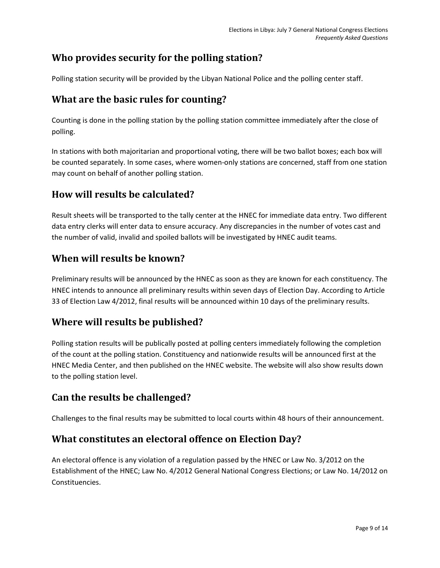## **Who provides security for the polling station?**

Polling station security will be provided by the Libyan National Police and the polling center staff.

#### <span id="page-11-0"></span>**What are the basic rules for counting?**

Counting is done in the polling station by the polling station committee immediately after the close of polling.

In stations with both majoritarian and proportional voting, there will be two ballot boxes; each box will be counted separately. In some cases, where women-only stations are concerned, staff from one station may count on behalf of another polling station.

## <span id="page-11-1"></span>**How will results be calculated?**

Result sheets will be transported to the tally center at the HNEC for immediate data entry. Two different data entry clerks will enter data to ensure accuracy. Any discrepancies in the number of votes cast and the number of valid, invalid and spoiled ballots will be investigated by HNEC audit teams.

#### <span id="page-11-2"></span>**When will results be known?**

Preliminary results will be announced by the HNEC as soon as they are known for each constituency. The HNEC intends to announce all preliminary results within seven days of Election Day. According to Article 33 of Election Law 4/2012, final results will be announced within 10 days of the preliminary results.

#### <span id="page-11-3"></span>**Where will results be published?**

Polling station results will be publically posted at polling centers immediately following the completion of the count at the polling station. Constituency and nationwide results will be announced first at the HNEC Media Center, and then published on the HNEC website. The website will also show results down to the polling station level.

#### <span id="page-11-4"></span>**Can the results be challenged?**

Challenges to the final results may be submitted to local courts within 48 hours of their announcement.

#### <span id="page-11-5"></span>**What constitutes an electoral offence on Election Day?**

An electoral offence is any violation of a regulation passed by the HNEC or Law No. 3/2012 on the Establishment of the HNEC; Law No. 4/2012 General National Congress Elections; or Law No. 14/2012 on Constituencies.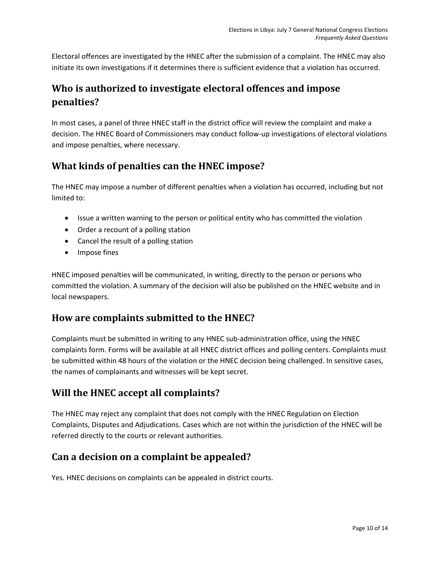Electoral offences are investigated by the HNEC after the submission of a complaint. The HNEC may also initiate its own investigations if it determines there is sufficient evidence that a violation has occurred.

## <span id="page-12-0"></span>**Who is authorized to investigate electoral offences and impose penalties?**

In most cases, a panel of three HNEC staff in the district office will review the complaint and make a decision. The HNEC Board of Commissioners may conduct follow-up investigations of electoral violations and impose penalties, where necessary.

## <span id="page-12-1"></span>**What kinds of penalties can the HNEC impose?**

The HNEC may impose a number of different penalties when a violation has occurred, including but not limited to:

- Issue a written warning to the person or political entity who has committed the violation
- Order a recount of a polling station
- Cancel the result of a polling station
- Impose fines

HNEC imposed penalties will be communicated, in writing, directly to the person or persons who committed the violation. A summary of the decision will also be published on the HNEC website and in local newspapers.

#### <span id="page-12-2"></span>**How are complaints submitted to the HNEC?**

Complaints must be submitted in writing to any HNEC sub-administration office, using the HNEC complaints form. Forms will be available at all HNEC district offices and polling centers. Complaints must be submitted within 48 hours of the violation or the HNEC decision being challenged. In sensitive cases, the names of complainants and witnesses will be kept secret.

#### <span id="page-12-3"></span>**Will the HNEC accept all complaints?**

The HNEC may reject any complaint that does not comply with the HNEC Regulation on Election Complaints, Disputes and Adjudications. Cases which are not within the jurisdiction of the HNEC will be referred directly to the courts or relevant authorities.

#### <span id="page-12-4"></span>**Can a decision on a complaint be appealed?**

Yes. HNEC decisions on complaints can be appealed in district courts.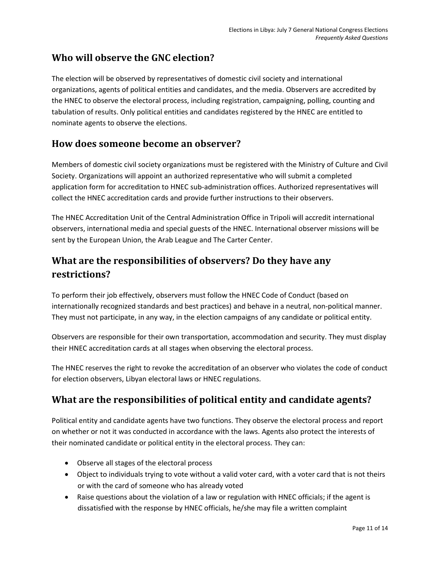## <span id="page-13-0"></span>**Who will observe the GNC election?**

The election will be observed by representatives of domestic civil society and international organizations, agents of political entities and candidates, and the media. Observers are accredited by the HNEC to observe the electoral process, including registration, campaigning, polling, counting and tabulation of results. Only political entities and candidates registered by the HNEC are entitled to nominate agents to observe the elections.

#### <span id="page-13-1"></span>**How does someone become an observer?**

Members of domestic civil society organizations must be registered with the Ministry of Culture and Civil Society. Organizations will appoint an authorized representative who will submit a completed application form for accreditation to HNEC sub-administration offices. Authorized representatives will collect the HNEC accreditation cards and provide further instructions to their observers.

The HNEC Accreditation Unit of the Central Administration Office in Tripoli will accredit international observers, international media and special guests of the HNEC. International observer missions will be sent by the European Union, the Arab League and The Carter Center.

## <span id="page-13-2"></span>**What are the responsibilities of observers? Do they have any restrictions?**

To perform their job effectively, observers must follow the HNEC Code of Conduct (based on internationally recognized standards and best practices) and behave in a neutral, non-political manner. They must not participate, in any way, in the election campaigns of any candidate or political entity.

Observers are responsible for their own transportation, accommodation and security. They must display their HNEC accreditation cards at all stages when observing the electoral process.

The HNEC reserves the right to revoke the accreditation of an observer who violates the code of conduct for election observers, Libyan electoral laws or HNEC regulations.

## <span id="page-13-3"></span>**What are the responsibilities of political entity and candidate agents?**

Political entity and candidate agents have two functions. They observe the electoral process and report on whether or not it was conducted in accordance with the laws. Agents also protect the interests of their nominated candidate or political entity in the electoral process. They can:

- Observe all stages of the electoral process
- Object to individuals trying to vote without a valid voter card, with a voter card that is not theirs or with the card of someone who has already voted
- Raise questions about the violation of a law or regulation with HNEC officials; if the agent is dissatisfied with the response by HNEC officials, he/she may file a written complaint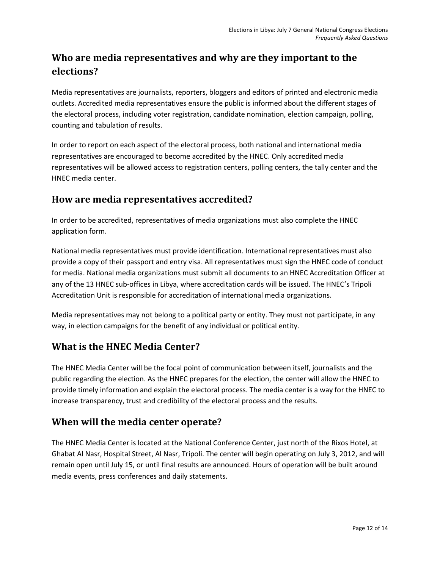## <span id="page-14-0"></span>**Who are media representatives and why are they important to the elections?**

Media representatives are journalists, reporters, bloggers and editors of printed and electronic media outlets. Accredited media representatives ensure the public is informed about the different stages of the electoral process, including voter registration, candidate nomination, election campaign, polling, counting and tabulation of results.

In order to report on each aspect of the electoral process, both national and international media representatives are encouraged to become accredited by the HNEC. Only accredited media representatives will be allowed access to registration centers, polling centers, the tally center and the HNEC media center.

#### <span id="page-14-1"></span>**How are media representatives accredited?**

In order to be accredited, representatives of media organizations must also complete the HNEC application form.

National media representatives must provide identification. International representatives must also provide a copy of their passport and entry visa. All representatives must sign the HNEC code of conduct for media. National media organizations must submit all documents to an HNEC Accreditation Officer at any of the 13 HNEC sub-offices in Libya, where accreditation cards will be issued. The HNEC's Tripoli Accreditation Unit is responsible for accreditation of international media organizations.

Media representatives may not belong to a political party or entity. They must not participate, in any way, in election campaigns for the benefit of any individual or political entity.

#### <span id="page-14-2"></span>**What is the HNEC Media Center?**

The HNEC Media Center will be the focal point of communication between itself, journalists and the public regarding the election. As the HNEC prepares for the election, the center will allow the HNEC to provide timely information and explain the electoral process. The media center is a way for the HNEC to increase transparency, trust and credibility of the electoral process and the results.

#### <span id="page-14-3"></span>**When will the media center operate?**

The HNEC Media Center is located at the National Conference Center, just north of the Rixos Hotel, at Ghabat Al Nasr, Hospital Street, Al Nasr, Tripoli. The center will begin operating on July 3, 2012, and will remain open until July 15, or until final results are announced. Hours of operation will be built around media events, press conferences and daily statements.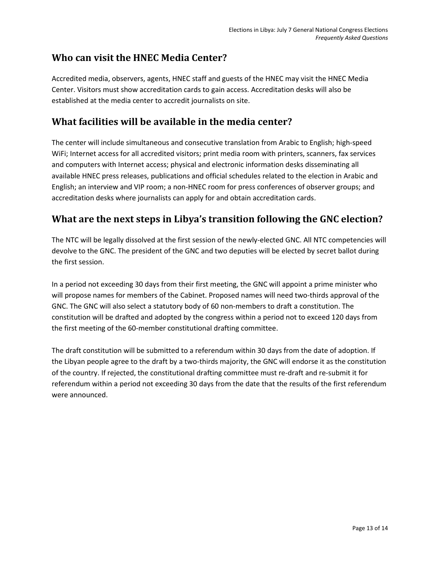## <span id="page-15-0"></span>**Who can visit the HNEC Media Center?**

Accredited media, observers, agents, HNEC staff and guests of the HNEC may visit the HNEC Media Center. Visitors must show accreditation cards to gain access. Accreditation desks will also be established at the media center to accredit journalists on site.

## <span id="page-15-1"></span>**What facilities will be available in the media center?**

The center will include simultaneous and consecutive translation from Arabic to English; high-speed WiFi; Internet access for all accredited visitors; print media room with printers, scanners, fax services and computers with Internet access; physical and electronic information desks disseminating all available HNEC press releases, publications and official schedules related to the election in Arabic and English; an interview and VIP room; a non-HNEC room for press conferences of observer groups; and accreditation desks where journalists can apply for and obtain accreditation cards.

## <span id="page-15-2"></span>**What are the next steps in Libya's transition following the GNC election?**

The NTC will be legally dissolved at the first session of the newly-elected GNC. All NTC competencies will devolve to the GNC. The president of the GNC and two deputies will be elected by secret ballot during the first session.

In a period not exceeding 30 days from their first meeting, the GNC will appoint a prime minister who will propose names for members of the Cabinet. Proposed names will need two-thirds approval of the GNC. The GNC will also select a statutory body of 60 non-members to draft a constitution. The constitution will be drafted and adopted by the congress within a period not to exceed 120 days from the first meeting of the 60-member constitutional drafting committee.

The draft constitution will be submitted to a referendum within 30 days from the date of adoption. If the Libyan people agree to the draft by a two-thirds majority, the GNC will endorse it as the constitution of the country. If rejected, the constitutional drafting committee must re-draft and re-submit it for referendum within a period not exceeding 30 days from the date that the results of the first referendum were announced.